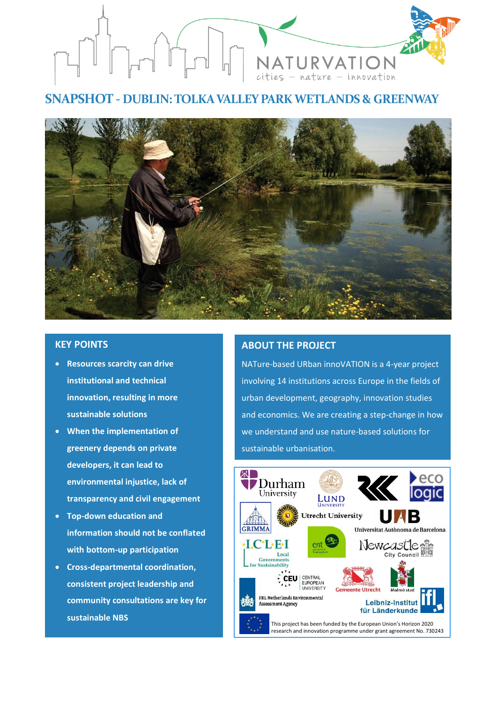

# **SNAPSHOT - DUBLIN: TOLKA VALLEY PARK WETLANDS & GREENWAY**



## **KEY POINTS**

- **Resources scarcity can drive institutional and technical innovation, resulting in more sustainable solutions**
- **When the implementation of greenery depends on private developers, it can lead to environmental injustice, lack of transparency and civil engagement**
- **Top-down education and information should not be conflated with bottom-up participation**
- **Cross-departmental coordination, consistent project leadership and community consultations are key for sustainable NBS**

•

# **ABOUT THE PROJECT**

NATure-based URban innoVATION is a 4-year project involving 14 institutions across Europe in the fields of urban development, geography, innovation studies and economics. We are creating a step-change in how we understand and use nature-based solutions for sustainable urbanisation.

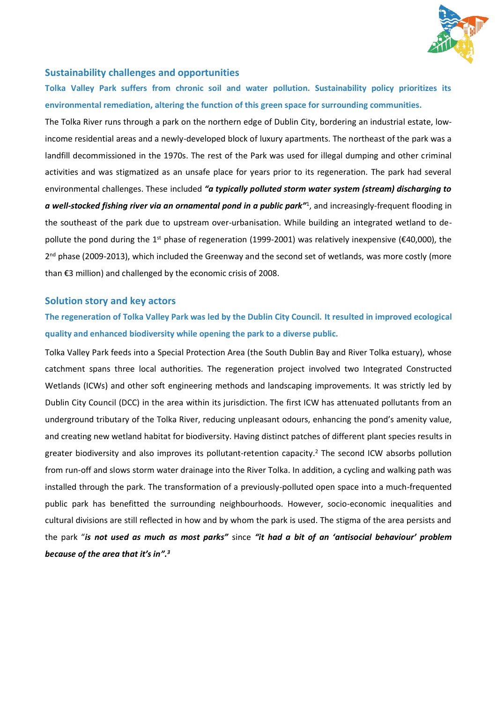

## **Sustainability challenges and opportunities**

**Tolka Valley Park suffers from chronic soil and water pollution. Sustainability policy prioritizes its environmental remediation, altering the function of this green space for surrounding communities.** 

The Tolka River runs through a park on the northern edge of Dublin City, bordering an industrial estate, lowincome residential areas and a newly-developed block of luxury apartments. The northeast of the park was a landfill decommissioned in the 1970s. The rest of the Park was used for illegal dumping and other criminal activities and was stigmatized as an unsafe place for years prior to its regeneration. The park had several environmental challenges. These included *"a typically polluted storm water system (stream) discharging to a well-stocked fishing river via an ornamental pond in a public park"*<sup>1</sup> , and increasingly-frequent flooding in the southeast of the park due to upstream over-urbanisation. While building an integrated wetland to depollute the pond during the 1<sup>st</sup> phase of regeneration (1999-2001) was relatively inexpensive (€40,000), the 2<sup>nd</sup> phase (2009-2013), which included the Greenway and the second set of wetlands, was more costly (more than €3 million) and challenged by the economic crisis of 2008.

#### **Solution story and key actors**

**The regeneration of Tolka Valley Park was led by the Dublin City Council. It resulted in improved ecological quality and enhanced biodiversity while opening the park to a diverse public.** 

Tolka Valley Park feeds into a Special Protection Area (the South Dublin Bay and River Tolka estuary), whose catchment spans three local authorities. The regeneration project involved two Integrated Constructed Wetlands (ICWs) and other soft engineering methods and landscaping improvements. It was strictly led by Dublin City Council (DCC) in the area within its jurisdiction. The first ICW has attenuated pollutants from an underground tributary of the Tolka River, reducing unpleasant odours, enhancing the pond's amenity value, and creating new wetland habitat for biodiversity. Having distinct patches of different plant species results in greater biodiversity and also improves its pollutant-retention capacity. <sup>2</sup> The second ICW absorbs pollution from run-off and slows storm water drainage into the River Tolka. In addition, a cycling and walking path was installed through the park. The transformation of a previously-polluted open space into a much-frequented public park has benefitted the surrounding neighbourhoods. However, socio-economic inequalities and cultural divisions are still reflected in how and by whom the park is used. The stigma of the area persists and the park "*is not used as much as most parks"* since *"it had a bit of an 'antisocial behaviour' problem because of the area that it's in".3*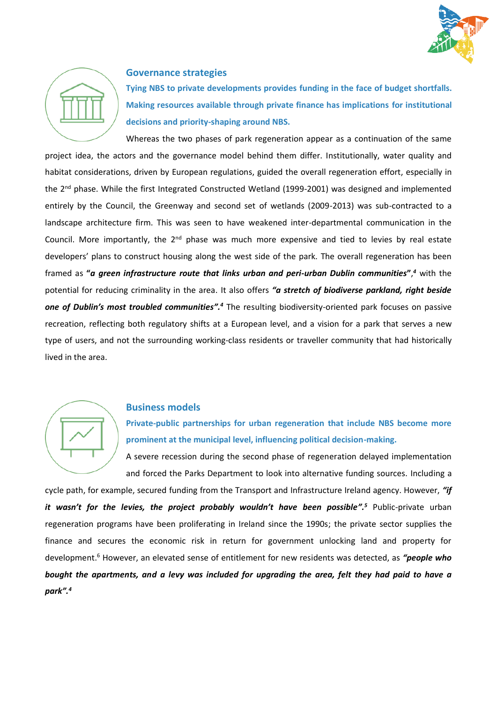



### **Governance strategies**

**Tying NBS to private developments provides funding in the face of budget shortfalls. Making resources available through private finance has implications for institutional decisions and priority-shaping around NBS.**

Whereas the two phases of park regeneration appear as a continuation of the same project idea, the actors and the governance model behind them differ. Institutionally, water quality and habitat considerations, driven by European regulations, guided the overall regeneration effort, especially in the 2<sup>nd</sup> phase. While the first Integrated Constructed Wetland (1999-2001) was designed and implemented entirely by the Council, the Greenway and second set of wetlands (2009-2013) was sub-contracted to a landscape architecture firm. This was seen to have weakened inter-departmental communication in the Council. More importantly, the 2<sup>nd</sup> phase was much more expensive and tied to levies by real estate developers' plans to construct housing along the west side of the park. The overall regeneration has been framed as **"***a green infrastructure route that links urban and peri-urban Dublin communities***"**, *<sup>4</sup>* with the potential for reducing criminality in the area. It also offers *"a stretch of biodiverse parkland, right beside one of Dublin's most troubled communities".<sup>4</sup>* The resulting biodiversity-oriented park focuses on passive recreation, reflecting both regulatory shifts at a European level, and a vision for a park that serves a new type of users, and not the surrounding working-class residents or traveller community that had historically lived in the area.



#### **Business models**

**Private-public partnerships for urban regeneration that include NBS become more prominent at the municipal level, influencing political decision-making.**

A severe recession during the second phase of regeneration delayed implementation and forced the Parks Department to look into alternative funding sources. Including a

cycle path, for example, secured funding from the Transport and Infrastructure Ireland agency. However, *"if it wasn't for the levies, the project probably wouldn't have been possible".<sup>5</sup>* Public-private urban regeneration programs have been proliferating in Ireland since the 1990s; the private sector supplies the finance and secures the economic risk in return for government unlocking land and property for development. <sup>6</sup> However, an elevated sense of entitlement for new residents was detected, as *"people who bought the apartments, and a levy was included for upgrading the area, felt they had paid to have a park".4*